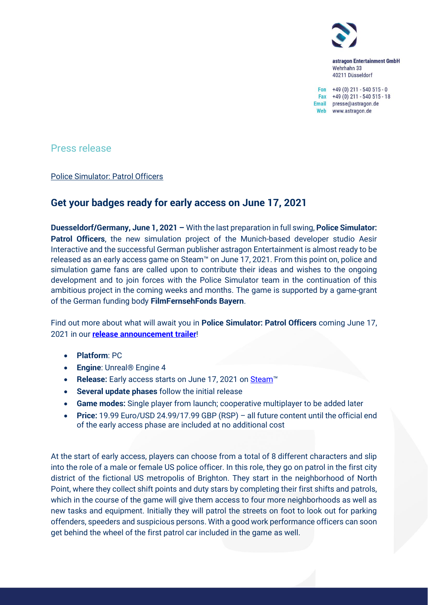

astragon Entertainment GmbH Wehrhahn 33 40211 Düsseldorf

Fon  $+49(0)$  211 - 540 515 - 0 Fax +49 (0) 211 - 540 515 - 18 Email presse@astragon.de Web www.astragon.de

Press release

Police Simulator: Patrol Officers

# **Get your badges ready for early access on June 17, 2021**

**Duesseldorf/Germany, June 1, 2021 –** With the last preparation in full swing, **Police Simulator: Patrol Officers**, the new simulation project of the Munich-based developer studio Aesir Interactive and the successful German publisher astragon Entertainment is almost ready to be released as an early access game on Steam™ on June 17, 2021. From this point on, police and simulation game fans are called upon to contribute their ideas and wishes to the ongoing development and to join forces with the Police Simulator team in the continuation of this ambitious project in the coming weeks and months. The game is supported by a game-grant of the German funding body **FilmFernsehFonds Bayern**.

Find out more about what will await you in **Police Simulator: Patrol Officers** coming June 17, 2021 in our **[release announcement trailer](https://youtu.be/89WAdMB1EIY)**!

- **Platform**: PC
- **Engine**: Unreal® Engine 4
- **Release:** Early access starts on June 17, 2021 on [Steam](https://store.steampowered.com/app/997010/Police_Simulator_Patrol_Officers/)™
- **Several update phases** follow the initial release
- **Game modes:** Single player from launch; cooperative multiplayer to be added later
- **Price:** 19.99 Euro/USD 24.99/17.99 GBP (RSP) all future content until the official end of the early access phase are included at no additional cost

At the start of early access, players can choose from a total of 8 different characters and slip into the role of a male or female US police officer. In this role, they go on patrol in the first city district of the fictional US metropolis of Brighton. They start in the neighborhood of North Point, where they collect shift points and duty stars by completing their first shifts and patrols, which in the course of the game will give them access to four more neighborhoods as well as new tasks and equipment. Initially they will patrol the streets on foot to look out for parking offenders, speeders and suspicious persons. With a good work performance officers can soon get behind the wheel of the first patrol car included in the game as well.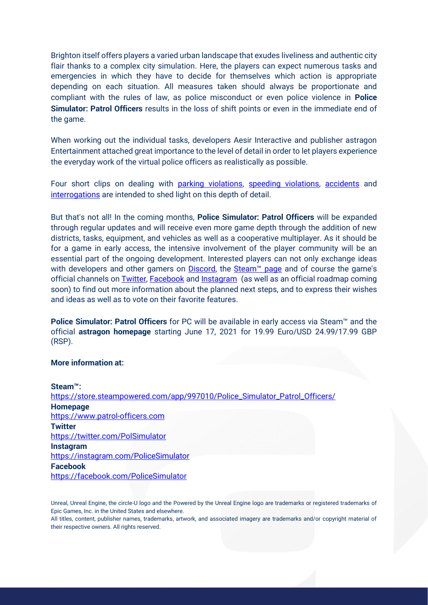Brighton itself offers players a varied urban landscape that exudes liveliness and authentic city flair thanks to a complex city simulation. Here, the players can expect numerous tasks and emergencies in which they have to decide for themselves which action is appropriate depending on each situation. All measures taken should always be proportionate and compliant with the rules of law, as police misconduct or even police violence in **Police Simulator: Patrol Officers** results in the loss of shift points or even in the immediate end of the game.

When working out the individual tasks, developers Aesir Interactive and publisher astragon Entertainment attached great importance to the level of detail in order to let players experience the everyday work of the virtual police officers as realistically as possible.

Four short clips on dealing with [parking violations,](https://youtu.be/cmCIvDDoK1Q) [speeding violations,](https://youtu.be/Uj_jGkmFuh8) [accidents](https://youtu.be/yonI_8zZ-Ks) and [interrogations](https://youtu.be/t7X4G6aTP7Y) are intended to shed light on this depth of detail.

But that's not all! In the coming months, **Police Simulator: Patrol Officers** will be expanded through regular updates and will receive even more game depth through the addition of new districts, tasks, equipment, and vehicles as well as a cooperative multiplayer. As it should be for a game in early access, the intensive involvement of the player community will be an essential part of the ongoing development. Interested players can not only exchange ideas with developers and other gamers on **Discord**, the Steam<sup>™</sup> page and of course the game's official channels on **Twitter, [Facebook](https://www.facebook.com/PoliceSimulator/)** and **Instagram** (as well as an official roadmap coming soon) to find out more information about the planned next steps, and to express their wishes and ideas as well as to vote on their favorite features.

**Police Simulator: Patrol Officers** for PC will be available in early access via Steam™ and the official **astragon homepage** starting June 17, 2021 for 19.99 Euro/USD 24.99/17.99 GBP (RSP).

### **More information at:**

| <b>Steam™:</b>                                                              |
|-----------------------------------------------------------------------------|
| https://store.steampowered.com/app/997010/Police_Simulator_Patrol_Officers/ |
| <b>Homepage</b>                                                             |
| https://www.patrol-officers.com                                             |
| <b>Twitter</b>                                                              |
| https://twitter.com/PolSimulator                                            |
| <b>Instagram</b>                                                            |
| https://instagram.com/PoliceSimulator                                       |
| <b>Facebook</b>                                                             |
| https://facebook.com/PoliceSimulator                                        |
|                                                                             |

Unreal, Unreal Engine, the circle-U logo and the Powered by the Unreal Engine logo are trademarks or registered trademarks of Epic Games, Inc. in the United States and elsewhere.

All titles, content, publisher names, trademarks, artwork, and associated imagery are trademarks and/or copyright material of their respective owners. All rights reserved.